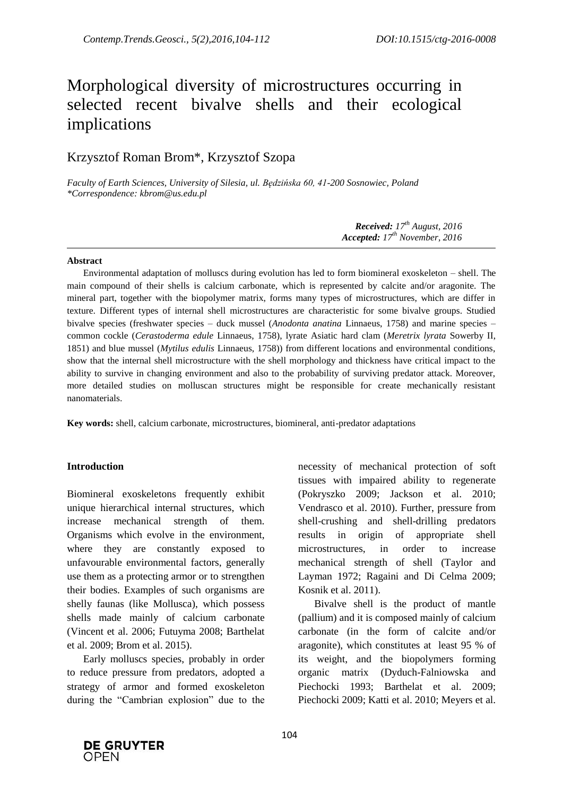# Morphological diversity of microstructures occurring in selected recent bivalve shells and their ecological implications

# Krzysztof Roman Brom\*, Krzysztof Szopa

*Faculty of Earth Sciences, University of Silesia, ul. Będzińska 60, 41-200 Sosnowiec, Poland \*Correspondence: kbrom@us.edu.pl*

> *Received: 17 th August, 2016 Accepted: 17 th November, 2016*

#### **Abstract**

Environmental adaptation of molluscs during evolution has led to form biomineral exoskeleton – shell. The main compound of their shells is calcium carbonate, which is represented by calcite and/or aragonite. The mineral part, together with the biopolymer matrix, forms many types of microstructures, which are differ in texture. Different types of internal shell microstructures are characteristic for some bivalve groups. Studied bivalve species (freshwater species – duck mussel (*Anodonta anatina* Linnaeus, 1758) and marine species – common cockle (*Cerastoderma edule* Linnaeus, 1758), lyrate Asiatic hard clam (*Meretrix lyrata* Sowerby II, 1851) and blue mussel (*Mytilus edulis* Linnaeus, 1758)) from different locations and environmental conditions, show that the internal shell microstructure with the shell morphology and thickness have critical impact to the ability to survive in changing environment and also to the probability of surviving predator attack. Moreover, more detailed studies on molluscan structures might be responsible for create mechanically resistant nanomaterials.

**Key words:** shell, calcium carbonate, microstructures, biomineral, anti-predator adaptations

#### **Introduction**

Biomineral exoskeletons frequently exhibit unique hierarchical internal structures, which increase mechanical strength of them. Organisms which evolve in the environment, where they are constantly exposed to unfavourable environmental factors, generally use them as a protecting armor or to strengthen their bodies. Examples of such organisms are shelly faunas (like Mollusca), which possess shells made mainly of calcium carbonate (Vincent et al. 2006; Futuyma 2008; Barthelat et al. 2009; Brom et al. 2015).

Early molluscs species, probably in order to reduce pressure from predators, adopted a strategy of armor and formed exoskeleton during the "Cambrian explosion" due to the necessity of mechanical protection of soft tissues with impaired ability to regenerate (Pokryszko 2009; Jackson et al. 2010; Vendrasco et al. 2010). Further, pressure from shell-crushing and shell-drilling predators results in origin of appropriate shell microstructures, in order to increase mechanical strength of shell (Taylor and Layman 1972; Ragaini and Di Celma 2009; Kosnik et al. 2011).

Bivalve shell is the product of mantle (pallium) and it is composed mainly of calcium carbonate (in the form of calcite and/or aragonite), which constitutes at least 95 % of its weight, and the biopolymers forming organic matrix (Dyduch-Falniowska and Piechocki 1993; Barthelat et al. 2009; Piechocki 2009; Katti et al. 2010; Meyers et al.

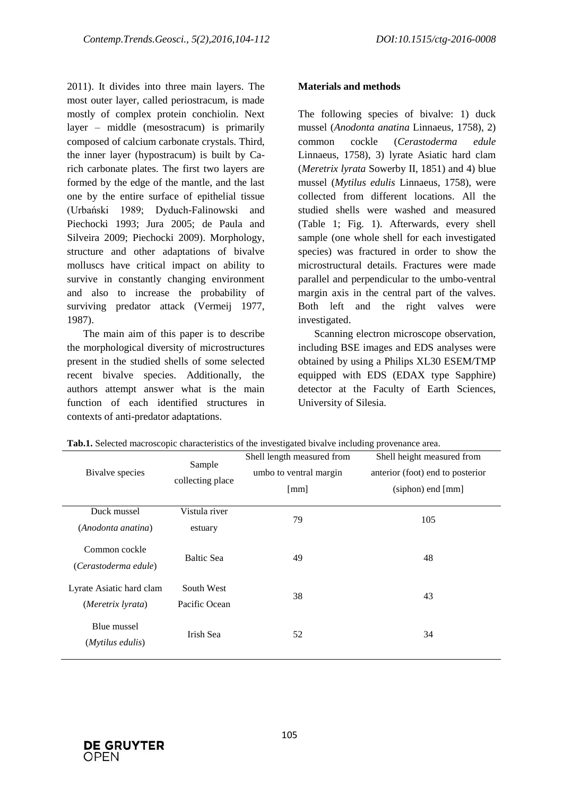2011). It divides into three main layers. The most outer layer, called periostracum, is made mostly of complex protein conchiolin. Next layer – middle (mesostracum) is primarily composed of calcium carbonate crystals. Third, the inner layer (hypostracum) is built by Carich carbonate plates. The first two layers are formed by the edge of the mantle, and the last one by the entire surface of epithelial tissue (Urbański 1989; Dyduch-Falinowski and Piechocki 1993; Jura 2005; de Paula and Silveira 2009; Piechocki 2009). Morphology, structure and other adaptations of bivalve molluscs have critical impact on ability to survive in constantly changing environment and also to increase the probability of surviving predator attack (Vermeij 1977, 1987).

The main aim of this paper is to describe the morphological diversity of microstructures present in the studied shells of some selected recent bivalve species. Additionally, the authors attempt answer what is the main function of each identified structures in contexts of anti-predator adaptations.

## **Materials and methods**

The following species of bivalve: 1) duck mussel (*Anodonta anatina* Linnaeus, 1758), 2) common cockle (*Cerastoderma edule* Linnaeus, 1758), 3) lyrate Asiatic hard clam (*Meretrix lyrata* Sowerby II, 1851) and 4) blue mussel (*Mytilus edulis* Linnaeus, 1758), were collected from different locations. All the studied shells were washed and measured (Table 1; Fig. 1). Afterwards, every shell sample (one whole shell for each investigated species) was fractured in order to show the microstructural details. Fractures were made parallel and perpendicular to the umbo-ventral margin axis in the central part of the valves. Both left and the right valves were investigated.

Scanning electron microscope observation, including BSE images and EDS analyses were obtained by using a Philips XL30 ESEM/TMP equipped with EDS (EDAX type Sapphire) detector at the Faculty of Earth Sciences, University of Silesia.

|                           | л.                         |                            | ັ້                               |
|---------------------------|----------------------------|----------------------------|----------------------------------|
| Bivalve species           | Sample<br>collecting place | Shell length measured from | Shell height measured from       |
|                           |                            | umbo to ventral margin     | anterior (foot) end to posterior |
|                           |                            | [mm]                       | $(siphon)$ end $[mm]$            |
|                           |                            |                            |                                  |
| Duck mussel               | Vistula river              | 79                         | 105                              |
| (Anodonta anatina)        | estuary                    |                            |                                  |
| Common cockle             |                            |                            |                                  |
|                           | <b>Baltic Sea</b>          | 49                         | 48                               |
| (Cerastoderma edule)      |                            |                            |                                  |
| Lyrate Asiatic hard clam  | South West                 |                            |                                  |
| (Meretrix lyrata)         | Pacific Ocean              | 38                         | 43                               |
|                           |                            |                            |                                  |
| Blue mussel               | Irish Sea                  | 52                         | 34                               |
| ( <i>Mytilus edulis</i> ) |                            |                            |                                  |
|                           |                            |                            |                                  |

**Tab.1.** Selected macroscopic characteristics of the investigated bivalve including provenance area.

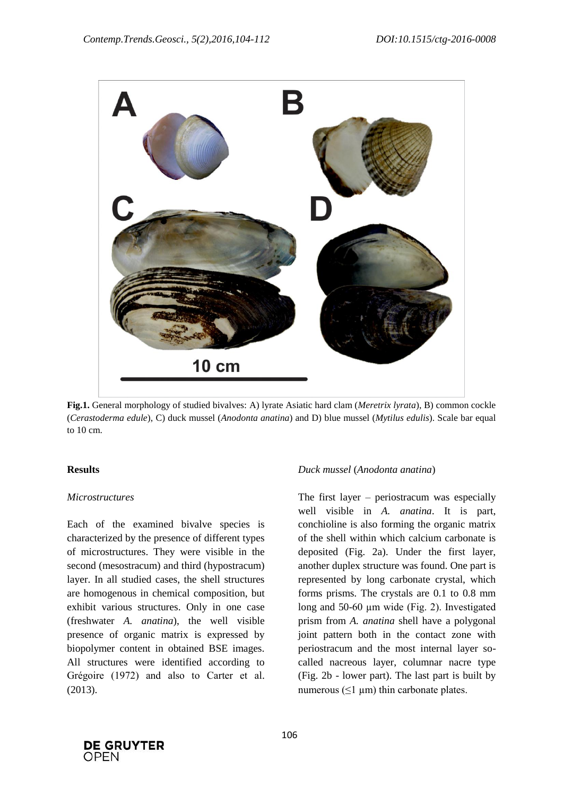

**Fig.1.** General morphology of studied bivalves: A) lyrate Asiatic hard clam (*Meretrix lyrata*), B) common cockle (*Cerastoderma edule*), C) duck mussel (*Anodonta anatina*) and D) blue mussel (*Mytilus edulis*). Scale bar equal to 10 cm.

#### **Results**

#### *Microstructures*

Each of the examined bivalve species is characterized by the presence of different types of microstructures. They were visible in the second (mesostracum) and third (hypostracum) layer. In all studied cases, the shell structures are homogenous in chemical composition, but exhibit various structures. Only in one case (freshwater *A. anatina*), the well visible presence of organic matrix is expressed by biopolymer content in obtained BSE images. All structures were identified according to Grégoire (1972) and also to Carter et al. (2013).

#### *Duck mussel* (*Anodonta anatina*)

The first layer – periostracum was especially well visible in *A. anatina*. It is part, conchioline is also forming the organic matrix of the shell within which calcium carbonate is deposited (Fig. 2a). Under the first layer, another duplex structure was found. One part is represented by long carbonate crystal, which forms prisms. The crystals are 0.1 to 0.8 mm long and 50-60 µm wide (Fig. 2). Investigated prism from *A. anatina* shell have a polygonal joint pattern both in the contact zone with periostracum and the most internal layer socalled nacreous layer, columnar nacre type (Fig. 2b - lower part). The last part is built by numerous  $(\leq 1 \text{ µm})$  thin carbonate plates.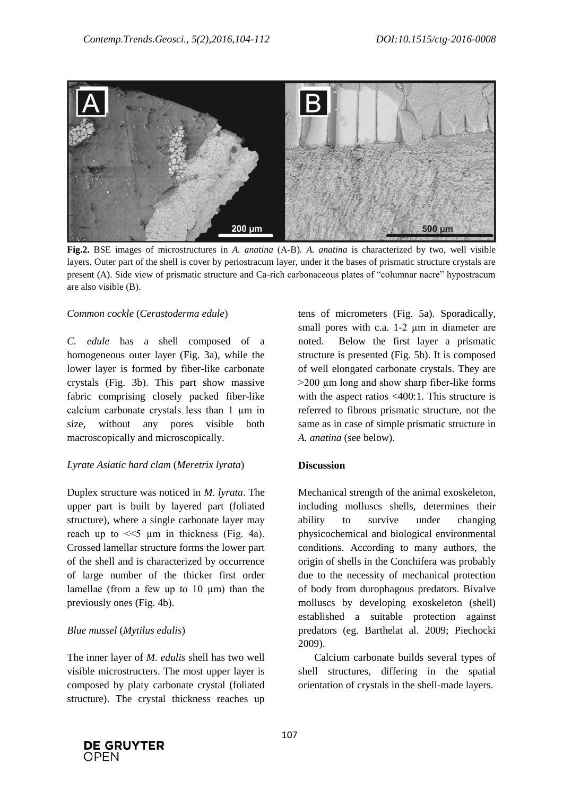

**Fig.2.** BSE images of microstructures in *A. anatina* (A-B)*. A. anatina* is characterized by two, well visible layers. Outer part of the shell is cover by periostracum layer, under it the bases of prismatic structure crystals are present (A). Side view of prismatic structure and Ca-rich carbonaceous plates of "columnar nacre" hypostracum are also visible (B).

#### *Common cockle* (*Cerastoderma edule*)

*C. edule* has a shell composed of a homogeneous outer layer (Fig. 3a), while the lower layer is formed by fiber-like carbonate crystals (Fig. 3b). This part show massive fabric comprising closely packed fiber-like calcium carbonate crystals less than 1 µm in size, without any pores visible both macroscopically and microscopically.

#### *Lyrate Asiatic hard clam* (*Meretrix lyrata*)

Duplex structure was noticed in *M. lyrata*. The upper part is built by layered part (foliated structure), where a single carbonate layer may reach up to  $<<5 \mu m$  in thickness (Fig. 4a). Crossed lamellar structure forms the lower part of the shell and is characterized by occurrence of large number of the thicker first order lamellae (from a few up to  $10 \mu m$ ) than the previously ones (Fig. 4b).

#### *Blue mussel* (*Mytilus edulis*)

The inner layer of *M. edulis* shell has two well visible microstructers. The most upper layer is composed by platy carbonate crystal (foliated structure). The crystal thickness reaches up

tens of micrometers (Fig. 5a). Sporadically, small pores with c.a. 1-2 um in diameter are noted. Below the first layer a prismatic structure is presented (Fig. 5b). It is composed of well elongated carbonate crystals. They are  $>200 \mu m$  long and show sharp fiber-like forms with the aspect ratios <400:1. This structure is referred to fibrous prismatic structure, not the same as in case of simple prismatic structure in *A. anatina* (see below).

#### **Discussion**

Mechanical strength of the animal exoskeleton, including molluscs shells, determines their ability to survive under changing physicochemical and biological environmental conditions. According to many authors, the origin of shells in the Conchifera was probably due to the necessity of mechanical protection of body from durophagous predators. Bivalve molluscs by developing exoskeleton (shell) established a suitable protection against predators (eg. Barthelat al. 2009; Piechocki 2009).

Calcium carbonate builds several types of shell structures, differing in the spatial orientation of crystals in the shell-made layers.

![](_page_3_Picture_14.jpeg)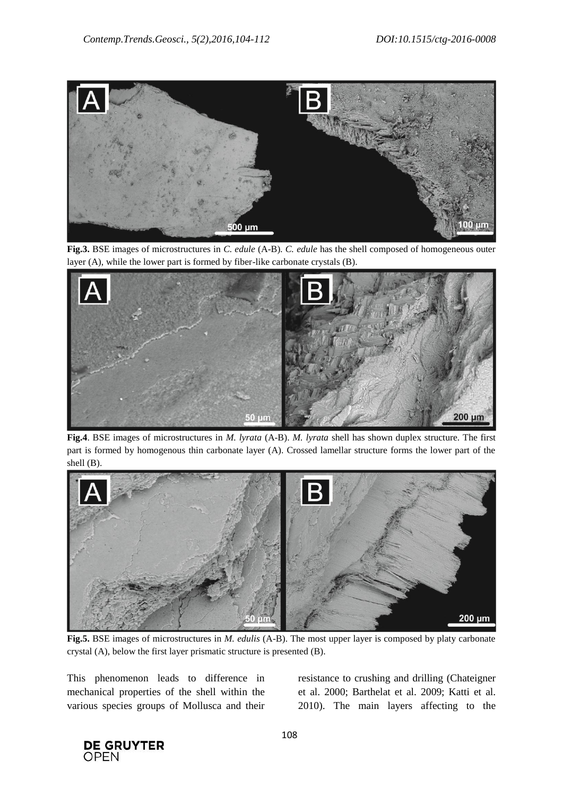![](_page_4_Figure_2.jpeg)

**Fig.3.** BSE images of microstructures in *C. edule* (A-B)*. C. edule* has the shell composed of homogeneous outer layer (A), while the lower part is formed by fiber-like carbonate crystals (B).

![](_page_4_Figure_4.jpeg)

**Fig.4**. BSE images of microstructures in *M. lyrata* (A-B). *M. lyrata* shell has shown duplex structure. The first part is formed by homogenous thin carbonate layer (A). Crossed lamellar structure forms the lower part of the shell (B).

![](_page_4_Figure_6.jpeg)

**Fig.5.** BSE images of microstructures in *M. edulis* (A-B). The most upper layer is composed by platy carbonate crystal (A), below the first layer prismatic structure is presented (B).

This phenomenon leads to difference in mechanical properties of the shell within the various species groups of Mollusca and their resistance to crushing and drilling (Chateigner et al. 2000; Barthelat et al. 2009; Katti et al. 2010). The main layers affecting to the

![](_page_4_Picture_10.jpeg)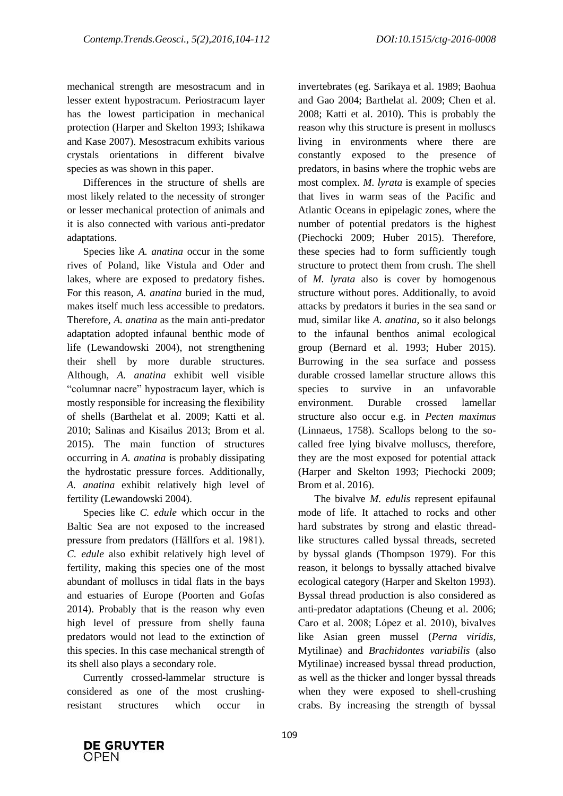mechanical strength are mesostracum and in lesser extent hypostracum. Periostracum layer has the lowest participation in mechanical protection (Harper and Skelton 1993; Ishikawa and Kase 2007). Mesostracum exhibits various crystals orientations in different bivalve species as was shown in this paper.

Differences in the structure of shells are most likely related to the necessity of stronger or lesser mechanical protection of animals and it is also connected with various anti-predator adaptations.

Species like *A. anatina* occur in the some rives of Poland, like Vistula and Oder and lakes, where are exposed to predatory fishes. For this reason, *A. anatina* buried in the mud, makes itself much less accessible to predators. Therefore, *A. anatina* as the main anti-predator adaptation adopted infaunal benthic mode of life (Lewandowski 2004), not strengthening their shell by more durable structures. Although, *A. anatina* exhibit well visible ―columnar nacre‖ hypostracum layer, which is mostly responsible for increasing the flexibility of shells (Barthelat et al. 2009; Katti et al. 2010; Salinas and Kisailus 2013; Brom et al. 2015). The main function of structures occurring in *A. anatina* is probably dissipating the hydrostatic pressure forces. Additionally, *A. anatina* exhibit relatively high level of fertility (Lewandowski 2004).

Species like *C. edule* which occur in the Baltic Sea are not exposed to the increased pressure from predators (Hällfors et al. 1981). *C. edule* also exhibit relatively high level of fertility, making this species one of the most abundant of molluscs in tidal flats in the bays and estuaries of Europe (Poorten and Gofas 2014). Probably that is the reason why even high level of pressure from shelly fauna predators would not lead to the extinction of this species. In this case mechanical strength of its shell also plays a secondary role.

Currently crossed-lammelar structure is considered as one of the most crushingresistant structures which occur in

invertebrates (eg. Sarikaya et al. 1989; Baohua and Gao 2004; Barthelat al. 2009; Chen et al. 2008; Katti et al. 2010). This is probably the reason why this structure is present in molluscs living in environments where there are constantly exposed to the presence of predators, in basins where the trophic webs are most complex. *M. lyrata* is example of species that lives in warm seas of the Pacific and Atlantic Oceans in epipelagic zones, where the number of potential predators is the highest (Piechocki 2009; Huber 2015). Therefore, these species had to form sufficiently tough structure to protect them from crush. The shell of *M. lyrata* also is cover by homogenous structure without pores. Additionally, to avoid attacks by predators it buries in the sea sand or mud, similar like *A. anatina*, so it also belongs to the infaunal benthos animal ecological group (Bernard et al. 1993; Huber 2015). Burrowing in the sea surface and possess durable crossed lamellar structure allows this species to survive in an unfavorable environment. Durable crossed lamellar structure also occur e.g. in *Pecten maximus* (Linnaeus, 1758). Scallops belong to the socalled free lying bivalve molluscs, therefore, they are the most exposed for potential attack (Harper and Skelton 1993; Piechocki 2009; Brom et al. 2016).

The bivalve *M. edulis* represent epifaunal mode of life. It attached to rocks and other hard substrates by strong and elastic threadlike structures called byssal threads, secreted by byssal glands (Thompson 1979). For this reason, it belongs to byssally attached bivalve ecological category (Harper and Skelton 1993). Byssal thread production is also considered as anti-predator adaptations (Cheung et al. 2006; Caro et al. 2008; López et al. 2010), bivalves like Asian green mussel (*Perna viridis,*  Mytilinae) and *Brachidontes variabilis* (also Mytilinae) increased byssal thread production, as well as the thicker and longer byssal threads when they were exposed to shell-crushing crabs. By increasing the strength of byssal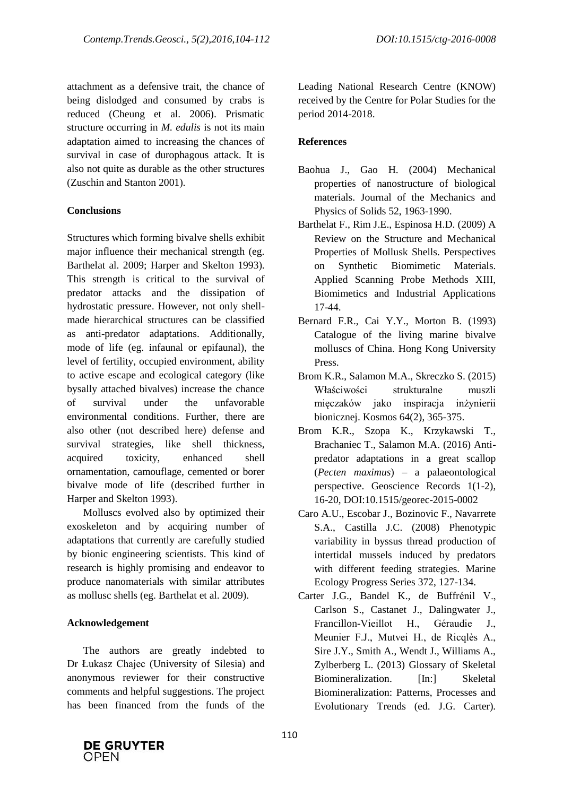attachment as a defensive trait, the chance of being dislodged and consumed by crabs is reduced (Cheung et al. 2006). Prismatic structure occurring in *M. edulis* is not its main adaptation aimed to increasing the chances of survival in case of durophagous attack. It is also not quite as durable as the other structures (Zuschin and Stanton 2001).

### **Conclusions**

Structures which forming bivalve shells exhibit major influence their mechanical strength (eg. Barthelat al. 2009; Harper and Skelton 1993). This strength is critical to the survival of predator attacks and the dissipation of hydrostatic pressure. However, not only shellmade hierarchical structures can be classified as anti-predator adaptations. Additionally, mode of life (eg. infaunal or epifaunal), the level of fertility, occupied environment, ability to active escape and ecological category (like bysally attached bivalves) increase the chance of survival under the unfavorable environmental conditions. Further, there are also other (not described here) defense and survival strategies, like shell thickness, acquired toxicity, enhanced shell ornamentation, camouflage, cemented or borer bivalve mode of life (described further in Harper and Skelton 1993).

Molluscs evolved also by optimized their exoskeleton and by acquiring number of adaptations that currently are carefully studied by bionic engineering scientists. This kind of research is highly promising and endeavor to produce nanomaterials with similar attributes as mollusc shells (eg. Barthelat et al. 2009).

# **Acknowledgement**

The authors are greatly indebted to Dr Łukasz Chajec (University of Silesia) and anonymous reviewer for their constructive comments and helpful suggestions. The project has been financed from the funds of the

Leading National Research Centre (KNOW) received by the Centre for Polar Studies for the period 2014-2018.

# **References**

- Baohua J., Gao H. (2004) Mechanical properties of nanostructure of biological materials. Journal of the Mechanics and Physics of Solids 52, 1963-1990.
- Barthelat F., Rim J.E., Espinosa H.D. (2009) A Review on the Structure and Mechanical Properties of Mollusk Shells. Perspectives on Synthetic Biomimetic Materials. Applied Scanning Probe Methods XIII, Biomimetics and Industrial Applications 17-44.
- Bernard F.R., Cai Y.Y., Morton B. (1993) Catalogue of the living marine bivalve molluscs of China. Hong Kong University Press.
- Brom K.R., Salamon M.A., Skreczko S. (2015) Właściwości strukturalne muszli mięczaków jako inspiracja inżynierii bionicznej. Kosmos 64(2), 365-375.
- Brom K.R., Szopa K., Krzykawski T., Brachaniec T., Salamon M.A. (2016) Antipredator adaptations in a great scallop (*Pecten maximus*) – a palaeontological perspective. Geoscience Records 1(1-2), 16-20, DOI:10.1515/georec-2015-0002
- Caro A.U., Escobar J., Bozinovic F., Navarrete S.A., Castilla J.C. (2008) Phenotypic variability in byssus thread production of intertidal mussels induced by predators with different feeding strategies. Marine Ecology Progress Series 372, 127-134.
- Carter J.G., Bandel K., de Buffrénil V., Carlson S., Castanet J., Dalingwater J., Francillon-Vieillot H., Géraudie J., Meunier F.J., Mutvei H., de Ricqlès A., Sire J.Y., Smith A., Wendt J., Williams A., Zylberberg L. (2013) Glossary of Skeletal Biomineralization. [In:] Skeletal Biomineralization: Patterns, Processes and Evolutionary Trends (ed. J.G. Carter).

![](_page_6_Picture_17.jpeg)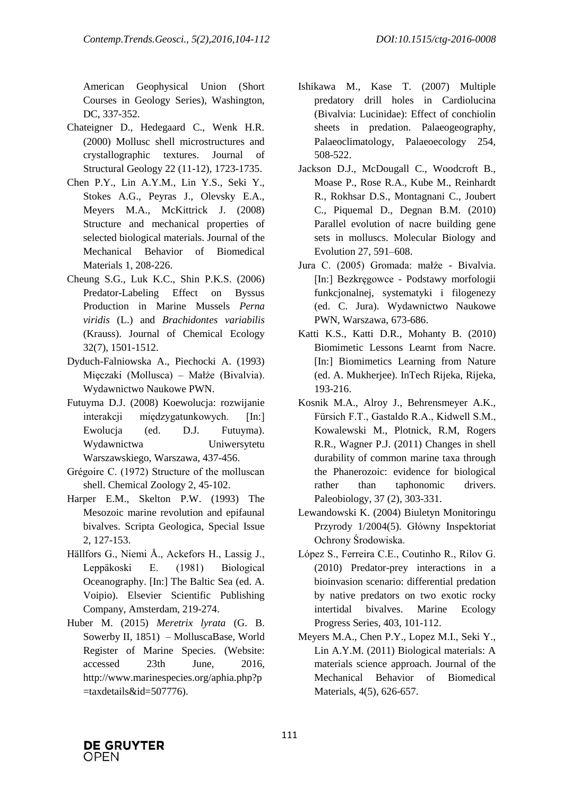American Geophysical Union (Short Courses in Geology Series), Washington, DC, 337-352.

- Chateigner D., Hedegaard C., Wenk H.R. (2000) Mollusc shell microstructures and crystallographic textures. Journal of Structural Geology 22 (11-12), 1723-1735.
- Chen P.Y., Lin A.Y.M., Lin Y.S., Seki Y., Stokes A.G., Peyras J., Olevsky E.A., Meyers M.A., McKittrick J. (2008) Structure and mechanical properties of selected biological materials. Journal of the Mechanical Behavior of Biomedical Materials 1, 208-226.
- Cheung S.G., Luk K.C., Shin P.K.S. (2006) Predator-Labeling Effect on Byssus Production in Marine Mussels *Perna viridis* (L.) and *Brachidontes variabilis* (Krauss). Journal of Chemical Ecology 32(7), 1501-1512.
- Dyduch-Falniowska A., Piechocki A. (1993) Mięczaki (Mollusca) – Małże (Bivalvia). Wydawnictwo Naukowe PWN.
- Futuyma D.J. (2008) Koewolucja: rozwijanie interakcji międzygatunkowych. [In:] Ewolucja (ed. D.J. Futuyma). Wydawnictwa Uniwersytetu Warszawskiego, Warszawa*,* 437-456.
- Grégoire C. (1972) Structure of the molluscan shell. Chemical Zoology 2, 45-102.
- Harper E.M., Skelton P.W. (1993) The Mesozoic marine revolution and epifaunal bivalves. Scripta Geologica, Special Issue 2, 127-153.
- Hällfors G., Niemi Å., Ackefors H., Lassig J., Leppäkoski E. (1981) Biological Oceanography. [In:] The Baltic Sea (ed. A. Voipio). Elsevier Scientific Publishing Company, Amsterdam, 219-274.
- Huber M. (2015) *Meretrix lyrata* (G. B. Sowerby II, 1851) – MolluscaBase, World Register of Marine Species. (Website: accessed 23th June, 2016, http://www.marinespecies.org/aphia.php?p =taxdetails&id=507776).
- Ishikawa M., Kase T. (2007) Multiple predatory drill holes in Cardiolucina (Bivalvia: Lucinidae): Effect of conchiolin sheets in predation. Palaeogeography, Palaeoclimatology, Palaeoecology 254, 508-522.
- Jackson D.J., McDougall C., Woodcroft B., Moase P., Rose R.A., Kube M., Reinhardt R., Rokhsar D.S., Montagnani C., Joubert C., Piquemal D., Degnan B.M. (2010) Parallel evolution of nacre building gene sets in molluscs. Molecular Biology and Evolution 27, 591–608.
- Jura C. (2005) Gromada: małże Bivalvia. [In:] Bezkręgowce - Podstawy morfologii funkcjonalnej, systematyki i filogenezy (ed. C. Jura). Wydawnictwo Naukowe PWN, Warszawa, 673-686.
- Katti K.S., Katti D.R., Mohanty B. (2010) Biomimetic Lessons Learnt from Nacre. [In:] Biomimetics Learning from Nature (ed. A. Mukherjee). InTech Rijeka, Rijeka, 193-216.
- Kosnik M.A., Alroy J., Behrensmeyer A.K., Fürsich F.T., Gastaldo R.A., Kidwell S.M., Kowalewski M., Plotnick, R.M, Rogers R.R., Wagner P.J. (2011) Changes in shell durability of common marine taxa through the Phanerozoic: evidence for biological rather than taphonomic drivers. Paleobiology, 37 (2), 303-331.
- Lewandowski K. (2004) Biuletyn Monitoringu Przyrody 1/2004(5). Główny Inspektoriat Ochrony Środowiska.
- López S., Ferreira C.E., Coutinho R., Rilov G. (2010) Predator-prey interactions in a bioinvasion scenario: differential predation by native predators on two exotic rocky intertidal bivalves. Marine Ecology Progress Series, 403, 101-112.
- Meyers M.A., Chen P.Y., Lopez M.I., Seki Y., Lin A.Y.M. (2011) Biological materials: A materials science approach. Journal of the Mechanical Behavior of Biomedical Materials, 4(5), 626-657.